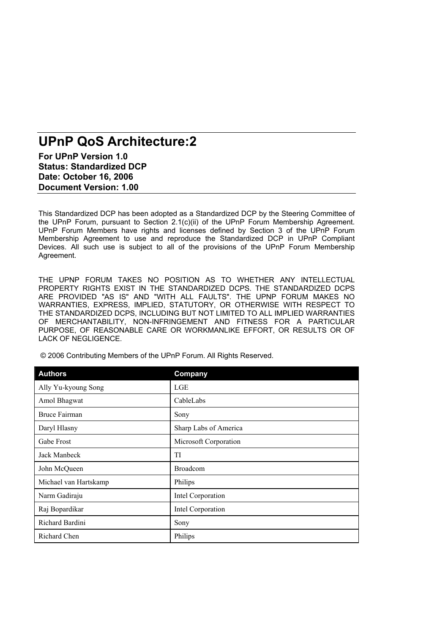# **UPnP QoS Architecture:2**

**For UPnP Version 1.0 Status: Standardized DCP Date: October 16, 2006 Document Version: 1.00** 

This Standardized DCP has been adopted as a Standardized DCP by the Steering Committee of the UPnP Forum, pursuant to Section 2.1(c)(ii) of the UPnP Forum Membership Agreement. UPnP Forum Members have rights and licenses defined by Section 3 of the UPnP Forum Membership Agreement to use and reproduce the Standardized DCP in UPnP Compliant Devices. All such use is subject to all of the provisions of the UPnP Forum Membership Agreement.

THE UPNP FORUM TAKES NO POSITION AS TO WHETHER ANY INTELLECTUAL PROPERTY RIGHTS EXIST IN THE STANDARDIZED DCPS. THE STANDARDIZED DCPS ARE PROVIDED "AS IS" AND "WITH ALL FAULTS". THE UPNP FORUM MAKES NO WARRANTIES, EXPRESS, IMPLIED, STATUTORY, OR OTHERWISE WITH RESPECT TO THE STANDARDIZED DCPS, INCLUDING BUT NOT LIMITED TO ALL IMPLIED WARRANTIES OF MERCHANTABILITY, NON-INFRINGEMENT AND FITNESS FOR A PARTICULAR PURPOSE, OF REASONABLE CARE OR WORKMANLIKE EFFORT, OR RESULTS OR OF LACK OF NEGLIGENCE.

| <b>Authors</b>        | Company               |
|-----------------------|-----------------------|
| Ally Yu-kyoung Song   | <b>LGE</b>            |
| Amol Bhagwat          | CableLabs             |
| <b>Bruce Fairman</b>  | Sony                  |
| Daryl Hlasny          | Sharp Labs of America |
| Gabe Frost            | Microsoft Corporation |
| Jack Manbeck          | TI                    |
| John McQueen          | <b>Broadcom</b>       |
| Michael van Hartskamp | Philips               |
| Narm Gadiraju         | Intel Corporation     |
| Raj Bopardikar        | Intel Corporation     |
| Richard Bardini       | Sony                  |
| Richard Chen          | Philips               |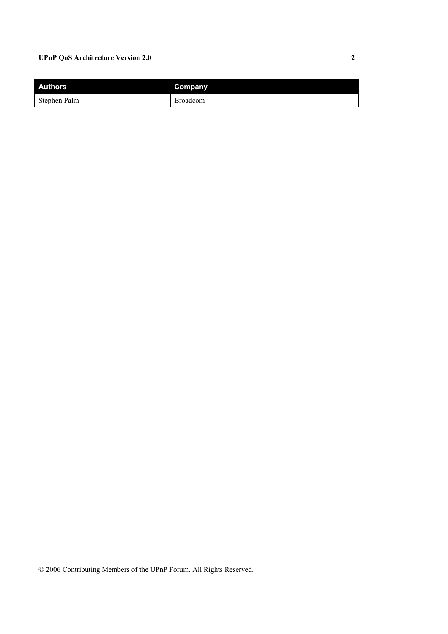## **UPnP QoS Architecture Version 2.0** 2

| <b>Authors</b> | Company         |
|----------------|-----------------|
| Stephen Palm   | <b>Broadcom</b> |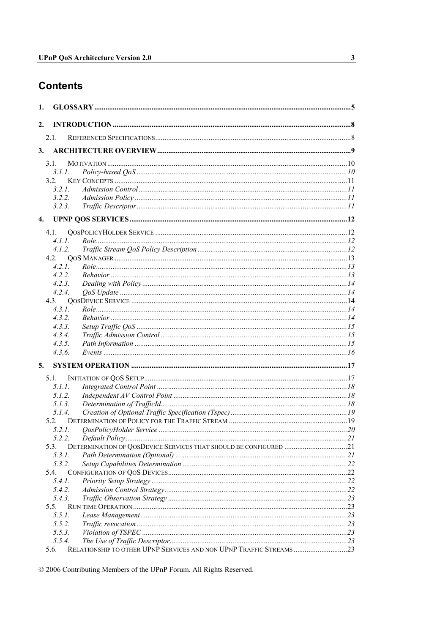## **Contents**

| 1. |                  |  |
|----|------------------|--|
| 2. |                  |  |
|    | 2.1.             |  |
| 3. |                  |  |
|    | 3.1              |  |
|    | 3.1.1.           |  |
|    | 3.2.             |  |
|    | 3.2.1.           |  |
|    | 3.2.2.           |  |
|    | 3.2.3.           |  |
| 4. |                  |  |
|    | 4.1.             |  |
|    | 4.1.1.           |  |
|    | 4.1.2.           |  |
|    | 4.2.             |  |
|    | 4.2.1.           |  |
|    | 4.2.2.           |  |
|    | 4.2.3.           |  |
|    | 4.2.4.           |  |
|    | 4.3.             |  |
|    | 4.3.1.           |  |
|    | 4.3.2.           |  |
|    | 4.3.3.           |  |
|    | 4.3.4.           |  |
|    | 4.3.5.<br>4.3.6. |  |
|    |                  |  |
| 5. |                  |  |
|    | $5.1$ .          |  |
|    | 5.1.1.           |  |
|    | 5.1.2.           |  |
|    | 5.1.3.           |  |
|    | 5.1.4.           |  |
|    | 5.2.<br>5.2.1.   |  |
|    |                  |  |
|    | 5.3.             |  |
|    | 5.3.I.           |  |
|    | 5.3.2.           |  |
|    | 5.4.             |  |
|    | 5.4.1.           |  |
|    | 5.4.2.           |  |
|    | 5.4.3.           |  |
|    | 5.5.             |  |
|    | 5.5.1.           |  |
|    | 5.5.2.           |  |
|    | 5.5.3.           |  |
|    | 5.5.4.           |  |
|    | 5.6.             |  |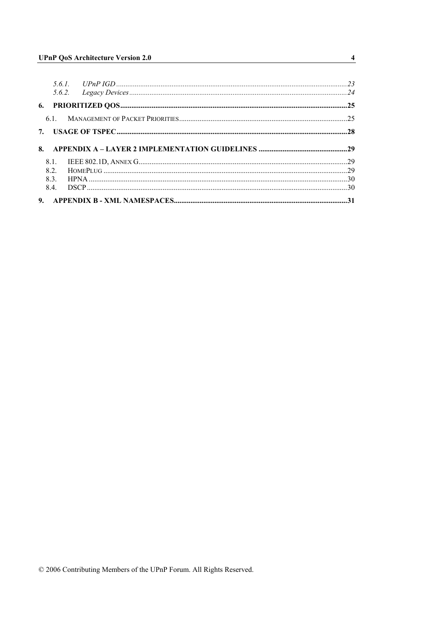| 8.1. |  |
|------|--|
| 82   |  |
|      |  |
| 8.4. |  |

 $\overline{4}$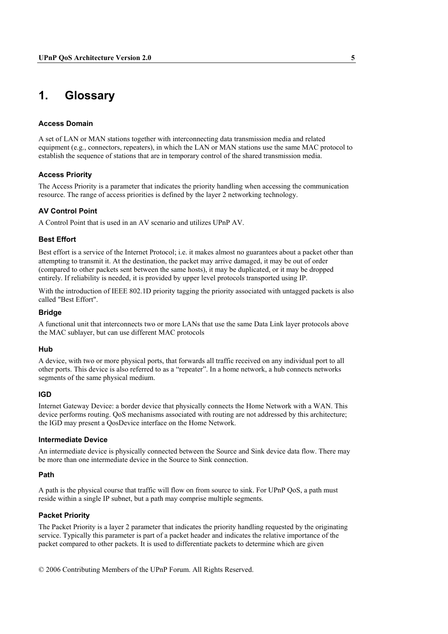## **1. Glossary**

#### **Access Domain**

A set of LAN or MAN stations together with interconnecting data transmission media and related equipment (e.g., connectors, repeaters), in which the LAN or MAN stations use the same MAC protocol to establish the sequence of stations that are in temporary control of the shared transmission media.

#### **Access Priority**

The Access Priority is a parameter that indicates the priority handling when accessing the communication resource. The range of access priorities is defined by the layer 2 networking technology.

#### **AV Control Point**

A Control Point that is used in an AV scenario and utilizes UPnP AV.

#### **Best Effort**

Best effort is a service of the Internet Protocol; i.e. it makes almost no guarantees about a packet other than attempting to transmit it. At the destination, the packet may arrive damaged, it may be out of order (compared to other packets sent between the same hosts), it may be duplicated, or it may be dropped entirely. If reliability is needed, it is provided by upper level protocols transported using IP.

With the introduction of IEEE 802.1D priority tagging the priority associated with untagged packets is also called "Best Effort".

#### **Bridge**

A functional unit that interconnects two or more LANs that use the same Data Link layer protocols above the MAC sublayer, but can use different MAC protocols

#### **Hub**

A device, with two or more physical ports, that forwards all traffic received on any individual port to all other ports. This device is also referred to as a "repeater". In a home network, a hub connects networks segments of the same physical medium.

#### **IGD**

Internet Gateway Device: a border device that physically connects the Home Network with a WAN. This device performs routing. QoS mechanisms associated with routing are not addressed by this architecture; the IGD may present a QosDevice interface on the Home Network.

#### **Intermediate Device**

An intermediate device is physically connected between the Source and Sink device data flow. There may be more than one intermediate device in the Source to Sink connection.

#### **Path**

A path is the physical course that traffic will flow on from source to sink. For UPnP QoS, a path must reside within a single IP subnet, but a path may comprise multiple segments.

#### **Packet Priority**

The Packet Priority is a layer 2 parameter that indicates the priority handling requested by the originating service. Typically this parameter is part of a packet header and indicates the relative importance of the packet compared to other packets. It is used to differentiate packets to determine which are given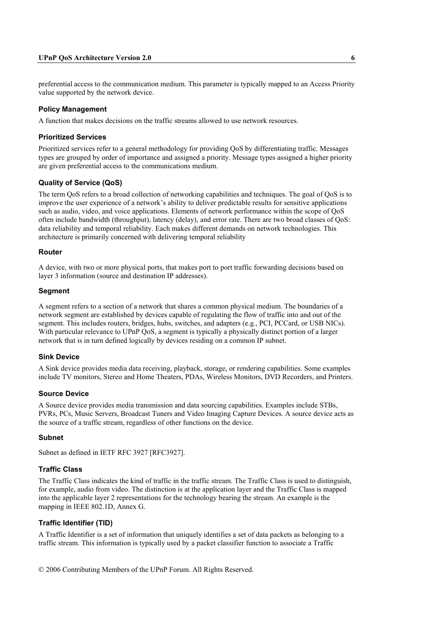#### **UPnP QoS Architecture Version 2.0 6**

preferential access to the communication medium. This parameter is typically mapped to an Access Priority value supported by the network device.

#### **Policy Management**

A function that makes decisions on the traffic streams allowed to use network resources.

#### **Prioritized Services**

Prioritized services refer to a general methodology for providing QoS by differentiating traffic. Messages types are grouped by order of importance and assigned a priority. Message types assigned a higher priority are given preferential access to the communications medium.

#### **Quality of Service (QoS)**

The term QoS refers to a broad collection of networking capabilities and techniques. The goal of QoS is to improve the user experience of a network's ability to deliver predictable results for sensitive applications such as audio, video, and voice applications. Elements of network performance within the scope of QoS often include bandwidth (throughput), latency (delay), and error rate. There are two broad classes of QoS: data reliability and temporal reliability. Each makes different demands on network technologies. This architecture is primarily concerned with delivering temporal reliability

#### **Router**

A device, with two or more physical ports, that makes port to port traffic forwarding decisions based on layer 3 information (source and destination IP addresses).

#### **Segment**

A segment refers to a section of a network that shares a common physical medium. The boundaries of a network segment are established by devices capable of regulating the flow of traffic into and out of the segment. This includes routers, bridges, hubs, switches, and adapters (e.g., PCI, PCCard, or USB NICs). With particular relevance to UPnP QoS, a segment is typically a physically distinct portion of a larger network that is in turn defined logically by devices residing on a common IP subnet.

#### **Sink Device**

A Sink device provides media data receiving, playback, storage, or rendering capabilities. Some examples include TV monitors, Stereo and Home Theaters, PDAs, Wireless Monitors, DVD Recorders, and Printers.

#### **Source Device**

A Source device provides media transmission and data sourcing capabilities. Examples include STBs, PVRs, PCs, Music Servers, Broadcast Tuners and Video Imaging Capture Devices. A source device acts as the source of a traffic stream, regardless of other functions on the device.

#### **Subnet**

Subnet as defined in IETF RFC 3927 [RFC3927].

#### **Traffic Class**

The Traffic Class indicates the kind of traffic in the traffic stream. The Traffic Class is used to distinguish, for example, audio from video. The distinction is at the application layer and the Traffic Class is mapped into the applicable layer 2 representations for the technology bearing the stream. An example is the mapping in IEEE 802.1D, Annex G.

#### **Traffic Identifier (TID)**

A Traffic Identifier is a set of information that uniquely identifies a set of data packets as belonging to a traffic stream. This information is typically used by a packet classifier function to associate a Traffic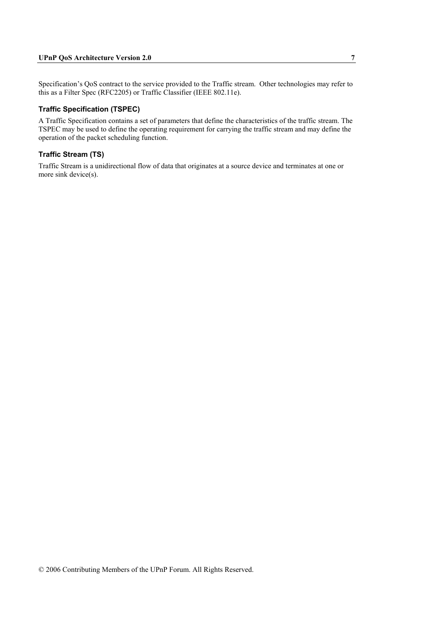Specification's QoS contract to the service provided to the Traffic stream. Other technologies may refer to this as a Filter Spec (RFC2205) or Traffic Classifier (IEEE 802.11e).

#### **Traffic Specification (TSPEC)**

A Traffic Specification contains a set of parameters that define the characteristics of the traffic stream. The TSPEC may be used to define the operating requirement for carrying the traffic stream and may define the operation of the packet scheduling function.

#### **Traffic Stream (TS)**

Traffic Stream is a unidirectional flow of data that originates at a source device and terminates at one or more sink device(s).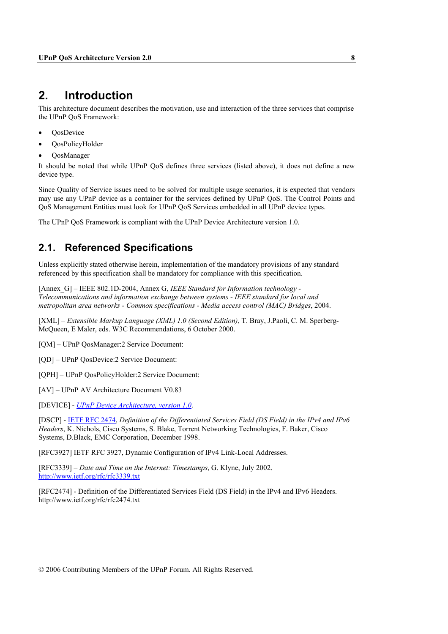## **2. Introduction**

This architecture document describes the motivation, use and interaction of the three services that comprise the UPnP QoS Framework:

- QosDevice
- QosPolicyHolder
- QosManager

It should be noted that while UPnP QoS defines three services (listed above), it does not define a new device type.

Since Quality of Service issues need to be solved for multiple usage scenarios, it is expected that vendors may use any UPnP device as a container for the services defined by UPnP QoS. The Control Points and QoS Management Entities must look for UPnP QoS Services embedded in all UPnP device types.

The UPnP QoS Framework is compliant with the UPnP Device Architecture version 1.0.

## **2.1. Referenced Specifications**

Unless explicitly stated otherwise herein, implementation of the mandatory provisions of any standard referenced by this specification shall be mandatory for compliance with this specification.

[Annex\_G] – IEEE 802.1D-2004, Annex G, *IEEE Standard for Information technology - Telecommunications and information exchange between systems - IEEE standard for local and metropolitan area networks - Common specifications - Media access control (MAC) Bridges*, 2004.

[XML] – *Extensible Markup Language (XML) 1.0 (Second Edition)*, T. Bray, J.Paoli, C. M. Sperberg-McQueen, E Maler, eds. W3C Recommendations, 6 October 2000.

[QM] – UPnP QosManager:2 Service Document:

[QD] – UPnP QosDevice:2 Service Document:

[QPH] – UPnP QosPolicyHolder:2 Service Document:

[AV] – UPnP AV Architecture Document V0.83

[DEVICE] - *UPnP Device Architecture, version 1.0*.

[DSCP] - IETF RFC 2474, *Definition of the Differentiated Services Field (DS Field) in the IPv4 and IPv6 Headers*, K. Nichols, Cisco Systems, S. Blake, Torrent Networking Technologies, F. Baker, Cisco Systems, D.Black, EMC Corporation, December 1998.

[RFC3927] IETF RFC 3927, Dynamic Configuration of IPv4 Link-Local Addresses.

[RFC3339] – *Date and Time on the Internet: Timestamps*, G. Klyne, July 2002. http://www.ietf.org/rfc/rfc3339.txt

[RFC2474] - Definition of the Differentiated Services Field (DS Field) in the IPv4 and IPv6 Headers. http://www.ietf.org/rfc/rfc2474.txt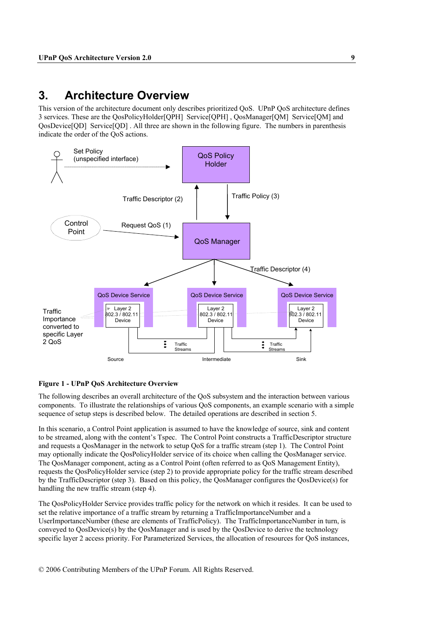## **3. Architecture Overview**

This version of the architecture document only describes prioritized QoS. UPnP QoS architecture defines 3 services. These are the QosPolicyHolder[QPH] Service[QPH] , QosManager[QM] Service[QM] and QosDevice[QD] Service[QD] . All three are shown in the following figure. The numbers in parenthesis indicate the order of the QoS actions.



#### **Figure 1 - UPnP QoS Architecture Overview**

The following describes an overall architecture of the QoS subsystem and the interaction between various components. To illustrate the relationships of various QoS components, an example scenario with a simple sequence of setup steps is described below. The detailed operations are described in section 5.

In this scenario, a Control Point application is assumed to have the knowledge of source, sink and content to be streamed, along with the content's Tspec. The Control Point constructs a TrafficDescriptor structure and requests a QosManager in the network to setup QoS for a traffic stream (step 1). The Control Point may optionally indicate the QosPolicyHolder service of its choice when calling the QosManager service. The QosManager component, acting as a Control Point (often referred to as QoS Management Entity), requests the QosPolicyHolder service (step 2) to provide appropriate policy for the traffic stream described by the TrafficDescriptor (step 3). Based on this policy, the QosManager configures the QosDevice(s) for handling the new traffic stream (step 4).

The QosPolicyHolder Service provides traffic policy for the network on which it resides. It can be used to set the relative importance of a traffic stream by returning a TrafficImportanceNumber and a UserImportanceNumber (these are elements of TrafficPolicy). The TrafficImportanceNumber in turn, is conveyed to QosDevice(s) by the QosManager and is used by the QosDevice to derive the technology specific layer 2 access priority. For Parameterized Services, the allocation of resources for QoS instances,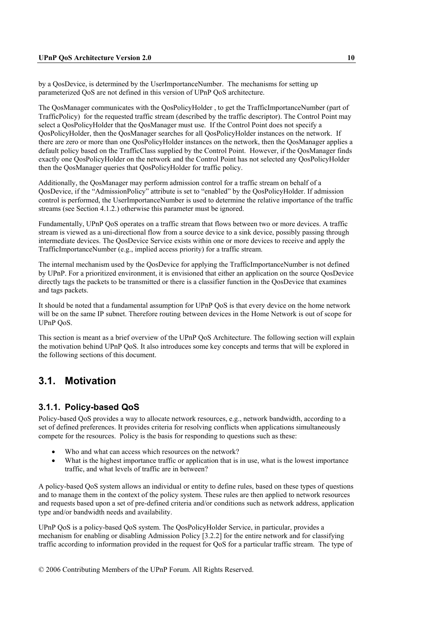by a QosDevice, is determined by the UserImportanceNumber. The mechanisms for setting up parameterized QoS are not defined in this version of UPnP QoS architecture.

The QosManager communicates with the QosPolicyHolder , to get the TrafficImportanceNumber (part of TrafficPolicy) for the requested traffic stream (described by the traffic descriptor). The Control Point may select a QosPolicyHolder that the QosManager must use. If the Control Point does not specify a QosPolicyHolder, then the QosManager searches for all QosPolicyHolder instances on the network. If there are zero or more than one QosPolicyHolder instances on the network, then the QosManager applies a default policy based on the TrafficClass supplied by the Control Point. However, if the QosManager finds exactly one QosPolicyHolder on the network and the Control Point has not selected any QosPolicyHolder then the QosManager queries that QosPolicyHolder for traffic policy.

Additionally, the QosManager may perform admission control for a traffic stream on behalf of a QosDevice, if the "AdmissionPolicy" attribute is set to "enabled" by the QosPolicyHolder. If admission control is performed, the UserImportanceNumber is used to determine the relative importance of the traffic streams (see Section 4.1.2.) otherwise this parameter must be ignored.

Fundamentally, UPnP QoS operates on a traffic stream that flows between two or more devices. A traffic stream is viewed as a uni-directional flow from a source device to a sink device, possibly passing through intermediate devices. The QosDevice Service exists within one or more devices to receive and apply the TrafficImportanceNumber (e.g., implied access priority) for a traffic stream.

The internal mechanism used by the QosDevice for applying the TrafficImportanceNumber is not defined by UPnP. For a prioritized environment, it is envisioned that either an application on the source QosDevice directly tags the packets to be transmitted or there is a classifier function in the QosDevice that examines and tags packets.

It should be noted that a fundamental assumption for UPnP QoS is that every device on the home network will be on the same IP subnet. Therefore routing between devices in the Home Network is out of scope for UPnP QoS.

This section is meant as a brief overview of the UPnP QoS Architecture. The following section will explain the motivation behind UPnP QoS. It also introduces some key concepts and terms that will be explored in the following sections of this document.

## **3.1. Motivation**

### **3.1.1. Policy-based QoS**

Policy-based QoS provides a way to allocate network resources, e.g., network bandwidth, according to a set of defined preferences. It provides criteria for resolving conflicts when applications simultaneously compete for the resources. Policy is the basis for responding to questions such as these:

- Who and what can access which resources on the network?
- What is the highest importance traffic or application that is in use, what is the lowest importance traffic, and what levels of traffic are in between?

A policy-based QoS system allows an individual or entity to define rules, based on these types of questions and to manage them in the context of the policy system. These rules are then applied to network resources and requests based upon a set of pre-defined criteria and/or conditions such as network address, application type and/or bandwidth needs and availability.

UPnP QoS is a policy-based QoS system. The QosPolicyHolder Service, in particular, provides a mechanism for enabling or disabling Admission Policy [3.2.2] for the entire network and for classifying traffic according to information provided in the request for QoS for a particular traffic stream. The type of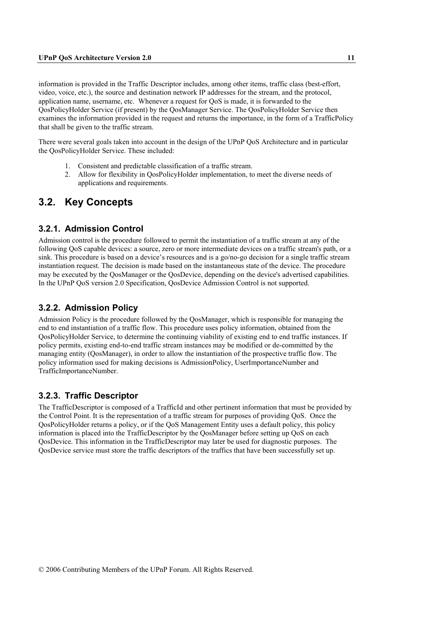information is provided in the Traffic Descriptor includes, among other items, traffic class (best-effort, video, voice, etc.), the source and destination network IP addresses for the stream, and the protocol, application name, username, etc. Whenever a request for QoS is made, it is forwarded to the QosPolicyHolder Service (if present) by the QosManager Service. The QosPolicyHolder Service then examines the information provided in the request and returns the importance, in the form of a TrafficPolicy that shall be given to the traffic stream.

There were several goals taken into account in the design of the UPnP QoS Architecture and in particular the QosPolicyHolder Service. These included:

- 1. Consistent and predictable classification of a traffic stream.
- 2. Allow for flexibility in QosPolicyHolder implementation, to meet the diverse needs of applications and requirements.

## **3.2. Key Concepts**

### **3.2.1. Admission Control**

Admission control is the procedure followed to permit the instantiation of a traffic stream at any of the following QoS capable devices: a source, zero or more intermediate devices on a traffic stream's path, or a sink. This procedure is based on a device's resources and is a go/no-go decision for a single traffic stream instantiation request. The decision is made based on the instantaneous state of the device. The procedure may be executed by the QosManager or the QosDevice, depending on the device's advertised capabilities. In the UPnP QoS version 2.0 Specification, QosDevice Admission Control is not supported.

### **3.2.2. Admission Policy**

Admission Policy is the procedure followed by the QosManager, which is responsible for managing the end to end instantiation of a traffic flow. This procedure uses policy information, obtained from the QosPolicyHolder Service, to determine the continuing viability of existing end to end traffic instances. If policy permits, existing end-to-end traffic stream instances may be modified or de-committed by the managing entity (QosManager), in order to allow the instantiation of the prospective traffic flow. The policy information used for making decisions is AdmissionPolicy, UserImportanceNumber and TrafficImportanceNumber.

### **3.2.3. Traffic Descriptor**

The TrafficDescriptor is composed of a TrafficId and other pertinent information that must be provided by the Control Point. It is the representation of a traffic stream for purposes of providing QoS. Once the QosPolicyHolder returns a policy, or if the QoS Management Entity uses a default policy, this policy information is placed into the TrafficDescriptor by the QosManager before setting up QoS on each QosDevice. This information in the TrafficDescriptor may later be used for diagnostic purposes. The QosDevice service must store the traffic descriptors of the traffics that have been successfully set up.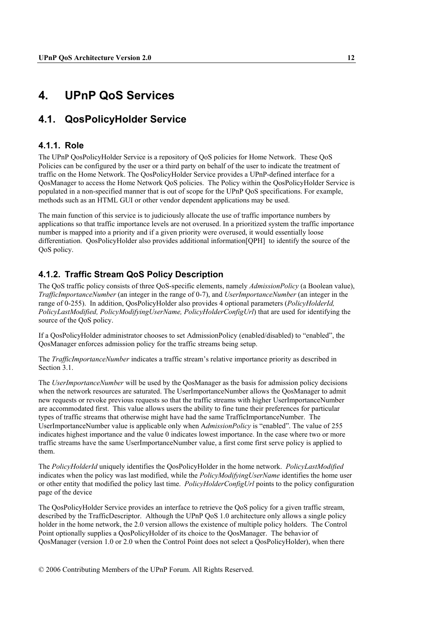## **4. UPnP QoS Services**

## **4.1. QosPolicyHolder Service**

#### **4.1.1. Role**

The UPnP QosPolicyHolder Service is a repository of QoS policies for Home Network. These QoS Policies can be configured by the user or a third party on behalf of the user to indicate the treatment of traffic on the Home Network. The QosPolicyHolder Service provides a UPnP-defined interface for a QosManager to access the Home Network QoS policies. The Policy within the QosPolicyHolder Service is populated in a non-specified manner that is out of scope for the UPnP QoS specifications. For example, methods such as an HTML GUI or other vendor dependent applications may be used.

The main function of this service is to judiciously allocate the use of traffic importance numbers by applications so that traffic importance levels are not overused. In a prioritized system the traffic importance number is mapped into a priority and if a given priority were overused, it would essentially loose differentiation. QosPolicyHolder also provides additional information[QPH] to identify the source of the OoS policy.

### **4.1.2. Traffic Stream QoS Policy Description**

The QoS traffic policy consists of three QoS-specific elements, namely *AdmissionPolicy* (a Boolean value), *TrafficImportanceNumber* (an integer in the range of 0-7), and *UserImportanceNumber* (an integer in the range of 0-255). In addition, QosPolicyHolder also provides 4 optional parameters (*PolicyHolderId, PolicyLastModified, PolicyModifyingUserName, PolicyHolderConfigUrl*) that are used for identifying the source of the QoS policy.

If a QosPolicyHolder administrator chooses to set AdmissionPolicy (enabled/disabled) to "enabled", the QosManager enforces admission policy for the traffic streams being setup.

The *TrafficImportanceNumber* indicates a traffic stream's relative importance priority as described in Section 3.1.

The *UserImportanceNumber* will be used by the QosManager as the basis for admission policy decisions when the network resources are saturated. The UserImportanceNumber allows the QosManager to admit new requests or revoke previous requests so that the traffic streams with higher UserImportanceNumber are accommodated first. This value allows users the ability to fine tune their preferences for particular types of traffic streams that otherwise might have had the same TrafficImportanceNumber. The UserImportanceNumber value is applicable only when A*dmissionPolicy* is "enabled". The value of 255 indicates highest importance and the value 0 indicates lowest importance. In the case where two or more traffic streams have the same UserImportanceNumber value, a first come first serve policy is applied to them.

The *PolicyHolderId* uniquely identifies the QosPolicyHolder in the home network. *PolicyLastModified* indicates when the policy was last modified, while the *PolicyModifyingUserName* identifies the home user or other entity that modified the policy last time. *PolicyHolderConfigUrl* points to the policy configuration page of the device

The QosPolicyHolder Service provides an interface to retrieve the QoS policy for a given traffic stream, described by the TrafficDescriptor. Although the UPnP QoS 1.0 architecture only allows a single policy holder in the home network, the 2.0 version allows the existence of multiple policy holders. The Control Point optionally supplies a QosPolicyHolder of its choice to the QosManager. The behavior of QosManager (version 1.0 or 2.0 when the Control Point does not select a QosPolicyHolder), when there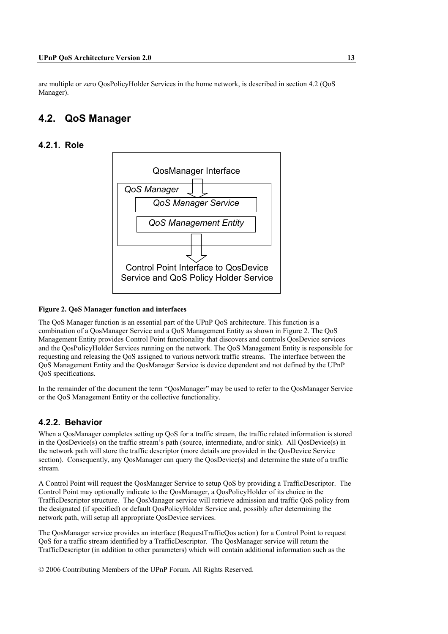are multiple or zero QosPolicyHolder Services in the home network, is described in section 4.2 (QoS Manager).

## **4.2. QoS Manager**

### **4.2.1. Role**



#### **Figure 2. QoS Manager function and interfaces**

The QoS Manager function is an essential part of the UPnP QoS architecture. This function is a combination of a QosManager Service and a QoS Management Entity as shown in Figure 2. The QoS Management Entity provides Control Point functionality that discovers and controls QosDevice services and the QosPolicyHolder Services running on the network. The QoS Management Entity is responsible for requesting and releasing the QoS assigned to various network traffic streams. The interface between the QoS Management Entity and the QosManager Service is device dependent and not defined by the UPnP QoS specifications.

In the remainder of the document the term "QosManager" may be used to refer to the QosManager Service or the QoS Management Entity or the collective functionality.

## **4.2.2. Behavior**

When a QosManager completes setting up QoS for a traffic stream, the traffic related information is stored in the QosDevice(s) on the traffic stream's path (source, intermediate, and/or sink). All QosDevice(s) in the network path will store the traffic descriptor (more details are provided in the QosDevice Service section). Consequently, any QosManager can query the QosDevice(s) and determine the state of a traffic stream.

A Control Point will request the QosManager Service to setup QoS by providing a TrafficDescriptor. The Control Point may optionally indicate to the QosManager, a QosPolicyHolder of its choice in the TrafficDescriptor structure. The QosManager service will retrieve admission and traffic QoS policy from the designated (if specified) or default QosPolicyHolder Service and, possibly after determining the network path, will setup all appropriate QosDevice services.

The QosManager service provides an interface (RequestTrafficQos action) for a Control Point to request QoS for a traffic stream identified by a TrafficDescriptor. The QosManager service will return the TrafficDescriptor (in addition to other parameters) which will contain additional information such as the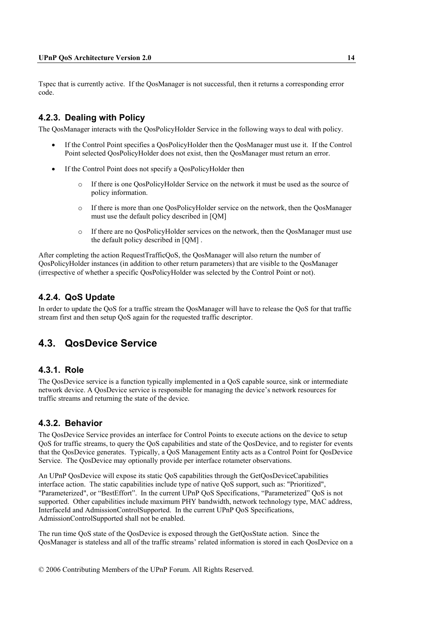Tspec that is currently active. If the QosManager is not successful, then it returns a corresponding error code.

### **4.2.3. Dealing with Policy**

The QosManager interacts with the QosPolicyHolder Service in the following ways to deal with policy.

- If the Control Point specifies a QosPolicyHolder then the QosManager must use it. If the Control Point selected QosPolicyHolder does not exist, then the QosManager must return an error.
- If the Control Point does not specify a QosPolicyHolder then
	- o If there is one QosPolicyHolder Service on the network it must be used as the source of policy information.
	- o If there is more than one QosPolicyHolder service on the network, then the QosManager must use the default policy described in [QM]
	- o If there are no QosPolicyHolder services on the network, then the QosManager must use the default policy described in [QM] .

After completing the action RequestTrafficQoS, the QosManager will also return the number of QosPolicyHolder instances (in addition to other return parameters) that are visible to the QosManager (irrespective of whether a specific QosPolicyHolder was selected by the Control Point or not).

### **4.2.4. QoS Update**

In order to update the QoS for a traffic stream the QosManager will have to release the QoS for that traffic stream first and then setup QoS again for the requested traffic descriptor.

## **4.3. QosDevice Service**

#### **4.3.1. Role**

The QosDevice service is a function typically implemented in a QoS capable source, sink or intermediate network device. A QosDevice service is responsible for managing the device's network resources for traffic streams and returning the state of the device.

### **4.3.2. Behavior**

The QosDevice Service provides an interface for Control Points to execute actions on the device to setup QoS for traffic streams, to query the QoS capabilities and state of the QosDevice, and to register for events that the QosDevice generates. Typically, a QoS Management Entity acts as a Control Point for QosDevice Service. The QosDevice may optionally provide per interface rotameter observations.

An UPnP QosDevice will expose its static QoS capabilities through the GetQosDeviceCapabilities interface action. The static capabilities include type of native QoS support, such as: "Prioritized", "Parameterized", or "BestEffort". In the current UPnP QoS Specifications, "Parameterized" QoS is not supported. Other capabilities include maximum PHY bandwidth, network technology type, MAC address, InterfaceId and AdmissionControlSupported. In the current UPnP QoS Specifications, AdmissionControlSupported shall not be enabled.

The run time QoS state of the QosDevice is exposed through the GetQosState action. Since the QosManager is stateless and all of the traffic streams' related information is stored in each QosDevice on a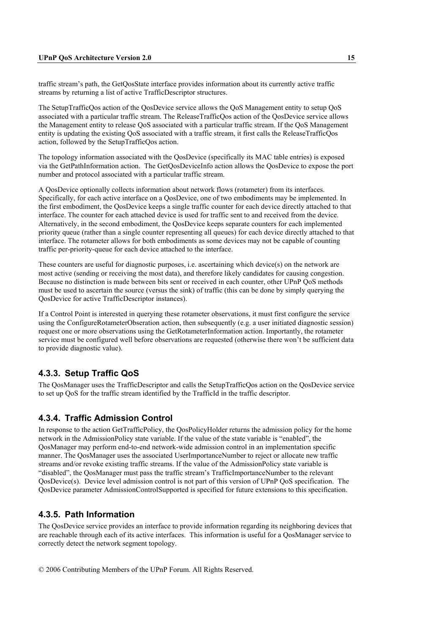traffic stream's path, the GetQosState interface provides information about its currently active traffic streams by returning a list of active TrafficDescriptor structures.

The SetupTrafficQos action of the QosDevice service allows the QoS Management entity to setup QoS associated with a particular traffic stream. The ReleaseTrafficQos action of the QosDevice service allows the Management entity to release QoS associated with a particular traffic stream. If the QoS Management entity is updating the existing QoS associated with a traffic stream, it first calls the ReleaseTrafficQos action, followed by the SetupTrafficQos action.

The topology information associated with the QosDevice (specifically its MAC table entries) is exposed via the GetPathInformation action. The GetQosDeviceInfo action allows the QosDevice to expose the port number and protocol associated with a particular traffic stream.

A QosDevice optionally collects information about network flows (rotameter) from its interfaces. Specifically, for each active interface on a QosDevice, one of two embodiments may be implemented. In the first embodiment, the QosDevice keeps a single traffic counter for each device directly attached to that interface. The counter for each attached device is used for traffic sent to and received from the device. Alternatively, in the second embodiment, the QosDevice keeps separate counters for each implemented priority queue (rather than a single counter representing all queues) for each device directly attached to that interface. The rotameter allows for both embodiments as some devices may not be capable of counting traffic per-priority-queue for each device attached to the interface.

These counters are useful for diagnostic purposes, i.e. ascertaining which device(s) on the network are most active (sending or receiving the most data), and therefore likely candidates for causing congestion. Because no distinction is made between bits sent or received in each counter, other UPnP QoS methods must be used to ascertain the source (versus the sink) of traffic (this can be done by simply querying the QosDevice for active TrafficDescriptor instances).

If a Control Point is interested in querying these rotameter observations, it must first configure the service using the ConfigureRotameterObseration action, then subsequently (e.g. a user initiated diagnostic session) request one or more observations using the GetRotameterInformation action. Importantly, the rotameter service must be configured well before observations are requested (otherwise there won't be sufficient data to provide diagnostic value).

### **4.3.3. Setup Traffic QoS**

The QosManager uses the TrafficDescriptor and calls the SetupTrafficQos action on the QosDevice service to set up QoS for the traffic stream identified by the TrafficId in the traffic descriptor.

#### **4.3.4. Traffic Admission Control**

In response to the action GetTrafficPolicy, the QosPolicyHolder returns the admission policy for the home network in the AdmissionPolicy state variable. If the value of the state variable is "enabled", the QosManager may perform end-to-end network-wide admission control in an implementation specific manner. The QosManager uses the associated UserImportanceNumber to reject or allocate new traffic streams and/or revoke existing traffic streams. If the value of the AdmissionPolicy state variable is "disabled", the QosManager must pass the traffic stream's TrafficImportanceNumber to the relevant QosDevice(s). Device level admission control is not part of this version of UPnP QoS specification. The QosDevice parameter AdmissionControlSupported is specified for future extensions to this specification.

### **4.3.5. Path Information**

The QosDevice service provides an interface to provide information regarding its neighboring devices that are reachable through each of its active interfaces. This information is useful for a QosManager service to correctly detect the network segment topology.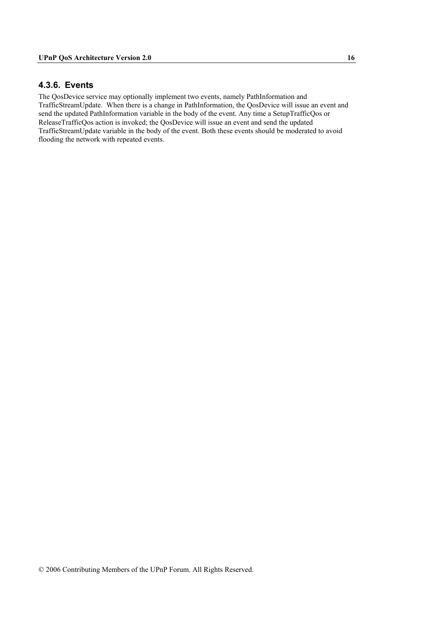### **4.3.6. Events**

The QosDevice service may optionally implement two events, namely PathInformation and TrafficStreamUpdate. When there is a change in PathInformation, the QosDevice will issue an event and send the updated PathInformation variable in the body of the event. Any time a SetupTrafficQos or ReleaseTrafficQos action is invoked; the QosDevice will issue an event and send the updated TrafficStreamUpdate variable in the body of the event. Both these events should be moderated to avoid flooding the network with repeated events.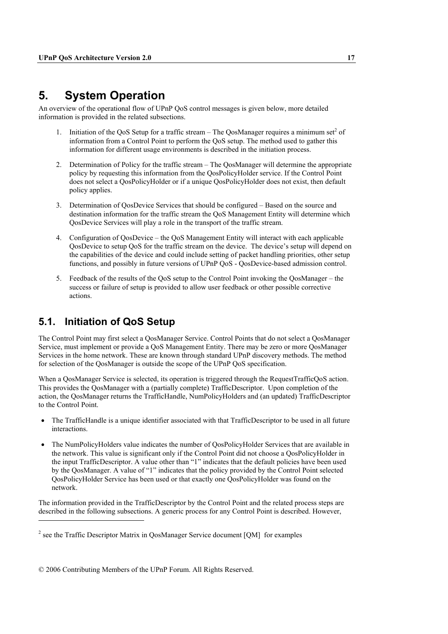## **5. System Operation**

An overview of the operational flow of UPnP QoS control messages is given below, more detailed information is provided in the related subsections.

- 1. Initiation of the QoS Setup for a traffic stream  $-$  The QosManager requires a minimum set<sup>2</sup> of information from a Control Point to perform the QoS setup. The method used to gather this information for different usage environments is described in the initiation process.
- 2. Determination of Policy for the traffic stream The QosManager will determine the appropriate policy by requesting this information from the QosPolicyHolder service. If the Control Point does not select a QosPolicyHolder or if a unique QosPolicyHolder does not exist, then default policy applies.
- 3. Determination of QosDevice Services that should be configured Based on the source and destination information for the traffic stream the QoS Management Entity will determine which QosDevice Services will play a role in the transport of the traffic stream.
- 4. Configuration of QosDevice the QoS Management Entity will interact with each applicable QosDevice to setup QoS for the traffic stream on the device. The device's setup will depend on the capabilities of the device and could include setting of packet handling priorities, other setup functions, and possibly in future versions of UPnP QoS - QosDevice-based admission control.
- 5. Feedback of the results of the QoS setup to the Control Point invoking the QosManager the success or failure of setup is provided to allow user feedback or other possible corrective actions.

## **5.1. Initiation of QoS Setup**

 $\overline{a}$ 

The Control Point may first select a QosManager Service. Control Points that do not select a QosManager Service, must implement or provide a QoS Management Entity. There may be zero or more QosManager Services in the home network. These are known through standard UPnP discovery methods. The method for selection of the QosManager is outside the scope of the UPnP QoS specification.

When a QosManager Service is selected, its operation is triggered through the RequestTrafficQoS action. This provides the QosManager with a (partially complete) TrafficDescriptor. Upon completion of the action, the QosManager returns the TrafficHandle, NumPolicyHolders and (an updated) TrafficDescriptor to the Control Point.

- The TrafficHandle is a unique identifier associated with that TrafficDescriptor to be used in all future interactions.
- The NumPolicyHolders value indicates the number of QosPolicyHolder Services that are available in the network. This value is significant only if the Control Point did not choose a QosPolicyHolder in the input TrafficDescriptor. A value other than "1" indicates that the default policies have been used by the QosManager. A value of "1" indicates that the policy provided by the Control Point selected QosPolicyHolder Service has been used or that exactly one QosPolicyHolder was found on the network.

The information provided in the TrafficDescriptor by the Control Point and the related process steps are described in the following subsections. A generic process for any Control Point is described. However,

<sup>&</sup>lt;sup>2</sup> see the Traffic Descriptor Matrix in QosManager Service document [QM] for examples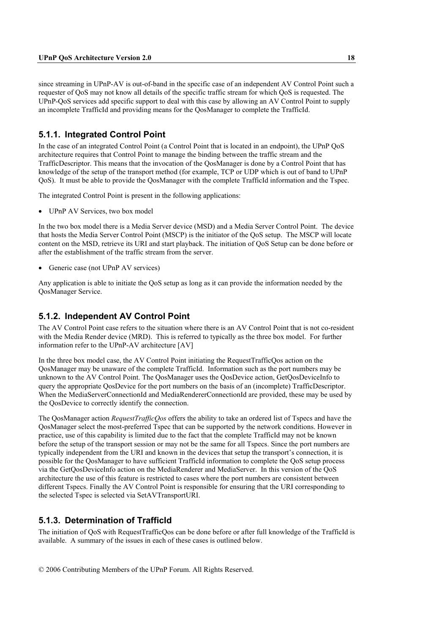since streaming in UPnP-AV is out-of-band in the specific case of an independent AV Control Point such a requester of QoS may not know all details of the specific traffic stream for which QoS is requested. The UPnP-QoS services add specific support to deal with this case by allowing an AV Control Point to supply an incomplete TrafficId and providing means for the QosManager to complete the TrafficId.

### **5.1.1. Integrated Control Point**

In the case of an integrated Control Point (a Control Point that is located in an endpoint), the UPnP QoS architecture requires that Control Point to manage the binding between the traffic stream and the TrafficDescriptor. This means that the invocation of the QosManager is done by a Control Point that has knowledge of the setup of the transport method (for example, TCP or UDP which is out of band to UPnP QoS). It must be able to provide the QosManager with the complete TrafficId information and the Tspec.

The integrated Control Point is present in the following applications:

• UPnP AV Services, two box model

In the two box model there is a Media Server device (MSD) and a Media Server Control Point. The device that hosts the Media Server Control Point (MSCP) is the initiator of the QoS setup. The MSCP will locate content on the MSD, retrieve its URI and start playback. The initiation of QoS Setup can be done before or after the establishment of the traffic stream from the server.

Generic case (not UPnP AV services)

Any application is able to initiate the QoS setup as long as it can provide the information needed by the QosManager Service.

### **5.1.2. Independent AV Control Point**

The AV Control Point case refers to the situation where there is an AV Control Point that is not co-resident with the Media Render device (MRD). This is referred to typically as the three box model. For further information refer to the UPnP-AV architecture [AV]

In the three box model case, the AV Control Point initiating the RequestTrafficQos action on the QosManager may be unaware of the complete TrafficId. Information such as the port numbers may be unknown to the AV Control Point. The QosManager uses the QosDevice action, GetQosDeviceInfo to query the appropriate QosDevice for the port numbers on the basis of an (incomplete) TrafficDescriptor. When the MediaServerConnectionId and MediaRendererConnectionId are provided, these may be used by the QosDevice to correctly identify the connection.

The QosManager action *RequestTrafficQos* offers the ability to take an ordered list of Tspecs and have the QosManager select the most-preferred Tspec that can be supported by the network conditions. However in practice, use of this capability is limited due to the fact that the complete TrafficId may not be known before the setup of the transport session or may not be the same for all Tspecs. Since the port numbers are typically independent from the URI and known in the devices that setup the transport's connection, it is possible for the QosManager to have sufficient TrafficId information to complete the QoS setup process via the GetQosDeviceInfo action on the MediaRenderer and MediaServer. In this version of the QoS architecture the use of this feature is restricted to cases where the port numbers are consistent between different Tspecs. Finally the AV Control Point is responsible for ensuring that the URI corresponding to the selected Tspec is selected via SetAVTransportURI.

### **5.1.3. Determination of TrafficId**

The initiation of QoS with RequestTrafficQos can be done before or after full knowledge of the TrafficId is available. A summary of the issues in each of these cases is outlined below.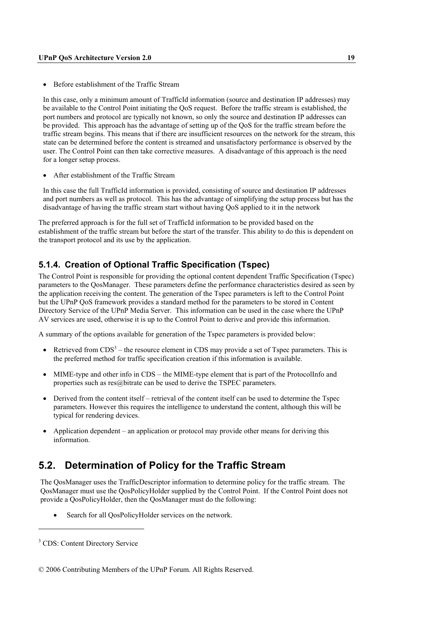• Before establishment of the Traffic Stream

In this case, only a minimum amount of TrafficId information (source and destination IP addresses) may be available to the Control Point initiating the QoS request. Before the traffic stream is established, the port numbers and protocol are typically not known, so only the source and destination IP addresses can be provided. This approach has the advantage of setting up of the QoS for the traffic stream before the traffic stream begins. This means that if there are insufficient resources on the network for the stream, this state can be determined before the content is streamed and unsatisfactory performance is observed by the user. The Control Point can then take corrective measures. A disadvantage of this approach is the need for a longer setup process.

• After establishment of the Traffic Stream

In this case the full TrafficId information is provided, consisting of source and destination IP addresses and port numbers as well as protocol. This has the advantage of simplifying the setup process but has the disadvantage of having the traffic stream start without having QoS applied to it in the network

The preferred approach is for the full set of TrafficId information to be provided based on the establishment of the traffic stream but before the start of the transfer. This ability to do this is dependent on the transport protocol and its use by the application.

### **5.1.4. Creation of Optional Traffic Specification (Tspec)**

The Control Point is responsible for providing the optional content dependent Traffic Specification (Tspec) parameters to the QosManager. These parameters define the performance characteristics desired as seen by the application receiving the content. The generation of the Tspec parameters is left to the Control Point but the UPnP QoS framework provides a standard method for the parameters to be stored in Content Directory Service of the UPnP Media Server. This information can be used in the case where the UPnP AV services are used, otherwise it is up to the Control Point to derive and provide this information.

A summary of the options available for generation of the Tspec parameters is provided below:

- Retrieved from  $CDS<sup>3</sup>$  the resource element in CDS may provide a set of Tspec parameters. This is the preferred method for traffic specification creation if this information is available.
- MIME-type and other info in CDS the MIME-type element that is part of the ProtocolInfo and properties such as res@bitrate can be used to derive the TSPEC parameters.
- Derived from the content itself retrieval of the content itself can be used to determine the Tspec parameters. However this requires the intelligence to understand the content, although this will be typical for rendering devices.
- Application dependent an application or protocol may provide other means for deriving this information.

## **5.2. Determination of Policy for the Traffic Stream**

The QosManager uses the TrafficDescriptor information to determine policy for the traffic stream. The QosManager must use the QosPolicyHolder supplied by the Control Point. If the Control Point does not provide a QosPolicyHolder, then the QosManager must do the following:

Search for all OosPolicyHolder services on the network.

 $\overline{a}$ 

<sup>&</sup>lt;sup>3</sup> CDS: Content Directory Service

<sup>© 2006</sup> Contributing Members of the UPnP Forum. All Rights Reserved.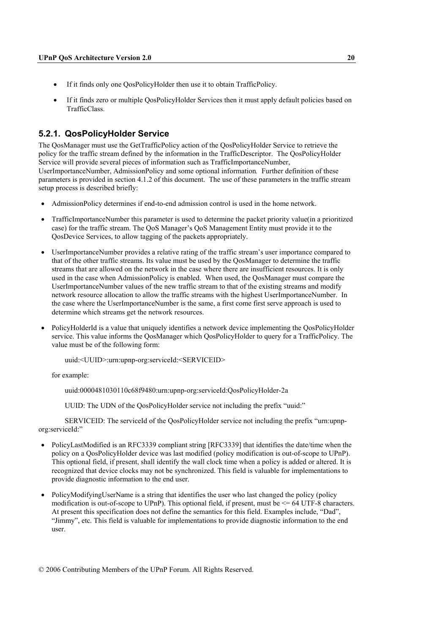- If it finds only one QosPolicyHolder then use it to obtain TrafficPolicy.
- If it finds zero or multiple QosPolicyHolder Services then it must apply default policies based on TrafficClass.

### **5.2.1. QosPolicyHolder Service**

The QosManager must use the GetTrafficPolicy action of the QosPolicyHolder Service to retrieve the policy for the traffic stream defined by the information in the TrafficDescriptor. The QosPolicyHolder Service will provide several pieces of information such as TrafficImportanceNumber, UserImportanceNumber, AdmissionPolicy and some optional information*.* Further definition of these parameters is provided in section 4.1.2 of this document. The use of these parameters in the traffic stream setup process is described briefly:

- AdmissionPolicy determines if end-to-end admission control is used in the home network.
- TrafficImportanceNumber this parameter is used to determine the packet priority value(in a prioritized case) for the traffic stream. The QoS Manager's QoS Management Entity must provide it to the QosDevice Services, to allow tagging of the packets appropriately.
- UserImportanceNumber provides a relative rating of the traffic stream's user importance compared to that of the other traffic streams. Its value must be used by the QosManager to determine the traffic streams that are allowed on the network in the case where there are insufficient resources. It is only used in the case when AdmissionPolicy is enabled. When used, the QosManager must compare the UserImportanceNumber values of the new traffic stream to that of the existing streams and modify network resource allocation to allow the traffic streams with the highest UserImportanceNumber. In the case where the UserImportanceNumber is the same, a first come first serve approach is used to determine which streams get the network resources.
- PolicyHolderId is a value that uniquely identifies a network device implementing the QosPolicyHolder service. This value informs the QosManager which QosPolicyHolder to query for a TrafficPolicy. The value must be of the following form:

uuid:<UUID>:urn:upnp-org:serviceId:<SERVICEID>

for example:

uuid:0000481030110c68f9480:urn:upnp-org:serviceId:QosPolicyHolder-2a

UUID: The UDN of the QosPolicyHolder service not including the prefix "uuid:"

SERVICEID: The serviceId of the QosPolicyHolder service not including the prefix "urn:upnporg:serviceId:"

- PolicyLastModified is an RFC3339 compliant string [RFC3339] that identifies the date/time when the policy on a QosPolicyHolder device was last modified (policy modification is out-of-scope to UPnP). This optional field, if present, shall identify the wall clock time when a policy is added or altered. It is recognized that device clocks may not be synchronized. This field is valuable for implementations to provide diagnostic information to the end user.
- PolicyModifyingUserName is a string that identifies the user who last changed the policy (policy modification is out-of-scope to UPnP). This optional field, if present, must be  $\leq 64$  UTF-8 characters. At present this specification does not define the semantics for this field. Examples include, "Dad", "Jimmy", etc. This field is valuable for implementations to provide diagnostic information to the end user.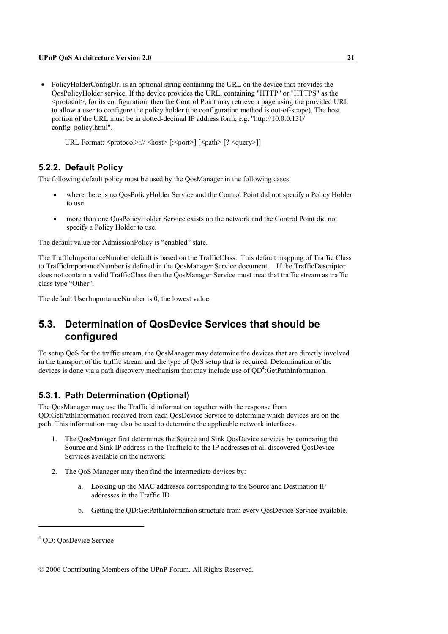• PolicyHolderConfigUrl is an optional string containing the URL on the device that provides the QosPolicyHolder service. If the device provides the URL, containing "HTTP" or "HTTPS" as the  $\leq$  protocol $\geq$ , for its configuration, then the Control Point may retrieve a page using the provided URL to allow a user to configure the policy holder (the configuration method is out-of-scope). The host portion of the URL must be in dotted-decimal IP address form, e.g. "http://10.0.0.131/ config\_policy.html".

URL Format: <protocol>:// <host> [:<port>] [<path> [? <query>]]

### **5.2.2. Default Policy**

The following default policy must be used by the QosManager in the following cases:

- where there is no OosPolicyHolder Service and the Control Point did not specify a Policy Holder to use
- more than one QosPolicyHolder Service exists on the network and the Control Point did not specify a Policy Holder to use.

The default value for AdmissionPolicy is "enabled" state.

The TrafficImportanceNumber default is based on the TrafficClass. This default mapping of Traffic Class to TrafficImportanceNumber is defined in the QosManager Service document. If the TrafficDescriptor does not contain a valid TrafficClass then the QosManager Service must treat that traffic stream as traffic class type "Other".

The default UserImportanceNumber is 0, the lowest value.

## **5.3. Determination of QosDevice Services that should be configured**

To setup QoS for the traffic stream, the QosManager may determine the devices that are directly involved in the transport of the traffic stream and the type of QoS setup that is required. Determination of the devices is done via a path discovery mechanism that may include use of  $QD<sup>4</sup>$ :GetPathInformation.

### **5.3.1. Path Determination (Optional)**

The QosManager may use the TrafficId information together with the response from QD:GetPathInformation received from each QosDevice Service to determine which devices are on the path. This information may also be used to determine the applicable network interfaces.

- 1. The QosManager first determines the Source and Sink QosDevice services by comparing the Source and Sink IP address in the TrafficId to the IP addresses of all discovered QosDevice Services available on the network.
- 2. The QoS Manager may then find the intermediate devices by:
	- a. Looking up the MAC addresses corresponding to the Source and Destination IP addresses in the Traffic ID
	- b. Getting the QD:GetPathInformation structure from every QosDevice Service available.

 $\overline{a}$ 

<sup>4</sup> QD: QosDevice Service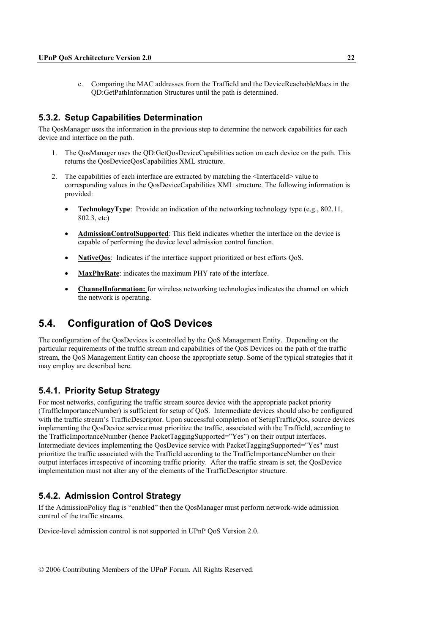c. Comparing the MAC addresses from the TrafficId and the DeviceReachableMacs in the QD:GetPathInformation Structures until the path is determined.

#### **5.3.2. Setup Capabilities Determination**

The QosManager uses the information in the previous step to determine the network capabilities for each device and interface on the path.

- 1. The QosManager uses the QD:GetQosDeviceCapabilities action on each device on the path. This returns the QosDeviceQosCapabilities XML structure.
- 2. The capabilities of each interface are extracted by matching the <InterfaceId> value to corresponding values in the QosDeviceCapabilities XML structure. The following information is provided:
	- **TechnologyType**: Provide an indication of the networking technology type (e.g., 802.11, 802.3, etc)
	- **AdmissionControlSupported**: This field indicates whether the interface on the device is capable of performing the device level admission control function.
	- NativeOos: Indicates if the interface support prioritized or best efforts OoS.
	- **MaxPhyRate**: indicates the maximum PHY rate of the interface.
	- **ChannelInformation:** for wireless networking technologies indicates the channel on which the network is operating.

## **5.4. Configuration of QoS Devices**

The configuration of the QosDevices is controlled by the QoS Management Entity. Depending on the particular requirements of the traffic stream and capabilities of the QoS Devices on the path of the traffic stream, the QoS Management Entity can choose the appropriate setup. Some of the typical strategies that it may employ are described here.

### **5.4.1. Priority Setup Strategy**

For most networks, configuring the traffic stream source device with the appropriate packet priority (TrafficImportanceNumber) is sufficient for setup of QoS. Intermediate devices should also be configured with the traffic stream's TrafficDescriptor. Upon successful completion of SetupTrafficQos, source devices implementing the QosDevice service must prioritize the traffic, associated with the TrafficId, according to the TrafficImportanceNumber (hence PacketTaggingSupported="Yes") on their output interfaces. Intermediate devices implementing the QosDevice service with PacketTaggingSupported="Yes" must prioritize the traffic associated with the TrafficId according to the TrafficImportanceNumber on their output interfaces irrespective of incoming traffic priority. After the traffic stream is set, the QosDevice implementation must not alter any of the elements of the TrafficDescriptor structure.

### **5.4.2. Admission Control Strategy**

If the AdmissionPolicy flag is "enabled" then the QosManager must perform network-wide admission control of the traffic streams.

Device-level admission control is not supported in UPnP QoS Version 2.0.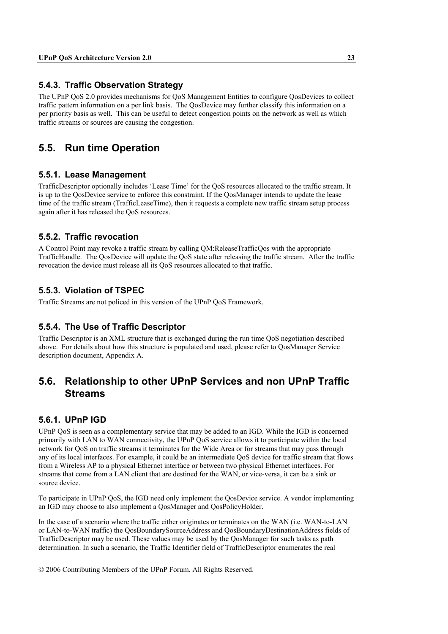### **5.4.3. Traffic Observation Strategy**

The UPnP QoS 2.0 provides mechanisms for QoS Management Entities to configure QosDevices to collect traffic pattern information on a per link basis. The QosDevice may further classify this information on a per priority basis as well. This can be useful to detect congestion points on the network as well as which traffic streams or sources are causing the congestion.

## **5.5. Run time Operation**

#### **5.5.1. Lease Management**

TrafficDescriptor optionally includes 'Lease Time' for the QoS resources allocated to the traffic stream. It is up to the QosDevice service to enforce this constraint. If the QosManager intends to update the lease time of the traffic stream (TrafficLeaseTime), then it requests a complete new traffic stream setup process again after it has released the QoS resources.

#### **5.5.2. Traffic revocation**

A Control Point may revoke a traffic stream by calling QM:ReleaseTrafficQos with the appropriate TrafficHandle. The QosDevice will update the QoS state after releasing the traffic stream. After the traffic revocation the device must release all its QoS resources allocated to that traffic.

#### **5.5.3. Violation of TSPEC**

Traffic Streams are not policed in this version of the UPnP QoS Framework.

#### **5.5.4. The Use of Traffic Descriptor**

Traffic Descriptor is an XML structure that is exchanged during the run time QoS negotiation described above. For details about how this structure is populated and used, please refer to QosManager Service description document, Appendix A.

## **5.6. Relationship to other UPnP Services and non UPnP Traffic Streams**

### **5.6.1. UPnP IGD**

UPnP QoS is seen as a complementary service that may be added to an IGD. While the IGD is concerned primarily with LAN to WAN connectivity, the UPnP QoS service allows it to participate within the local network for QoS on traffic streams it terminates for the Wide Area or for streams that may pass through any of its local interfaces. For example, it could be an intermediate QoS device for traffic stream that flows from a Wireless AP to a physical Ethernet interface or between two physical Ethernet interfaces. For streams that come from a LAN client that are destined for the WAN, or vice-versa, it can be a sink or source device.

To participate in UPnP QoS, the IGD need only implement the QosDevice service. A vendor implementing an IGD may choose to also implement a QosManager and QosPolicyHolder.

In the case of a scenario where the traffic either originates or terminates on the WAN (i.e. WAN-to-LAN or LAN-to-WAN traffic) the QosBoundarySourceAddress and QosBoundaryDestinationAddress fields of TrafficDescriptor may be used. These values may be used by the QosManager for such tasks as path determination. In such a scenario, the Traffic Identifier field of TrafficDescriptor enumerates the real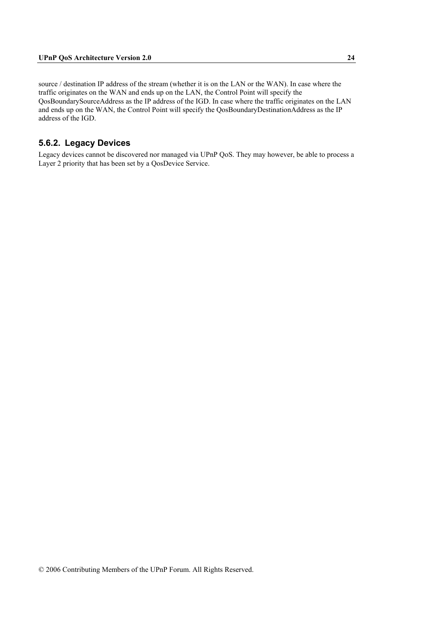source / destination IP address of the stream (whether it is on the LAN or the WAN). In case where the traffic originates on the WAN and ends up on the LAN, the Control Point will specify the QosBoundarySourceAddress as the IP address of the IGD. In case where the traffic originates on the LAN and ends up on the WAN, the Control Point will specify the QosBoundaryDestinationAddress as the IP address of the IGD.

#### **5.6.2. Legacy Devices**

Legacy devices cannot be discovered nor managed via UPnP QoS. They may however, be able to process a Layer 2 priority that has been set by a QosDevice Service.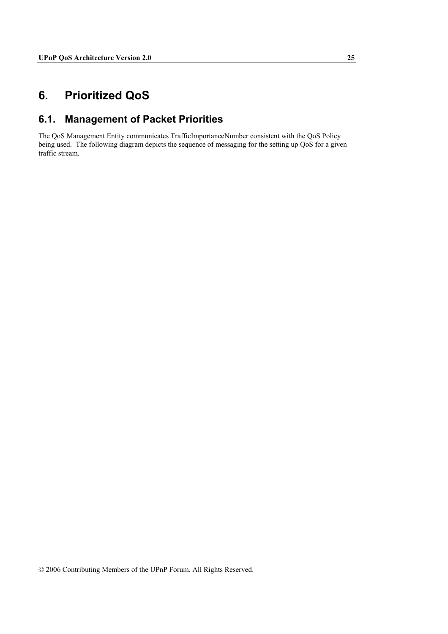## **6. Prioritized QoS**

## **6.1. Management of Packet Priorities**

The QoS Management Entity communicates TrafficImportanceNumber consistent with the QoS Policy being used. The following diagram depicts the sequence of messaging for the setting up QoS for a given traffic stream.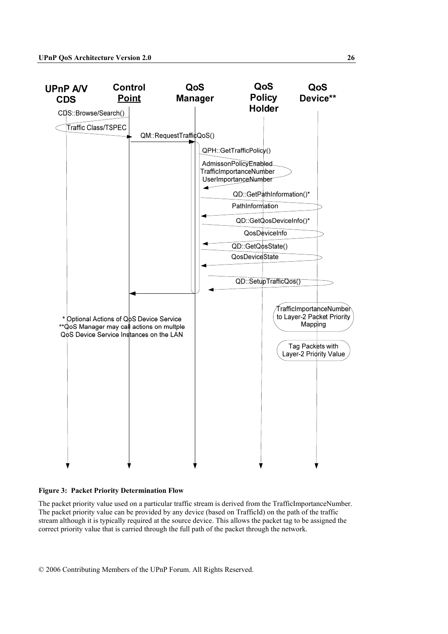

#### **Figure 3: Packet Priority Determination Flow**

The packet priority value used on a particular traffic stream is derived from the TrafficImportanceNumber. The packet priority value can be provided by any device (based on TrafficId) on the path of the traffic stream although it is typically required at the source device. This allows the packet tag to be assigned the correct priority value that is carried through the full path of the packet through the network.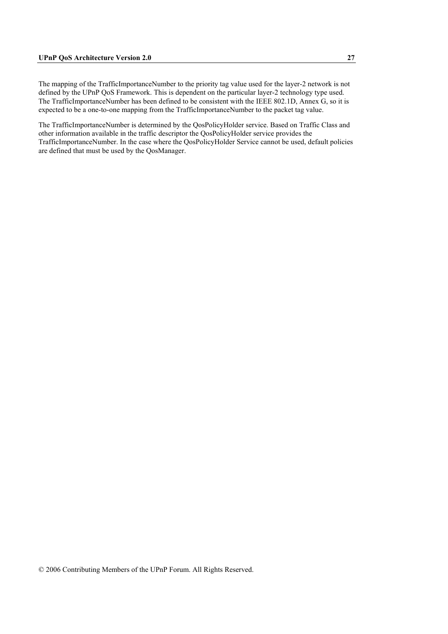The mapping of the TrafficImportanceNumber to the priority tag value used for the layer-2 network is not defined by the UPnP QoS Framework. This is dependent on the particular layer-2 technology type used. The TrafficImportanceNumber has been defined to be consistent with the IEEE 802.1D, Annex G, so it is expected to be a one-to-one mapping from the TrafficImportanceNumber to the packet tag value.

The TrafficImportanceNumber is determined by the QosPolicyHolder service. Based on Traffic Class and other information available in the traffic descriptor the QosPolicyHolder service provides the TrafficImportanceNumber. In the case where the QosPolicyHolder Service cannot be used, default policies are defined that must be used by the QosManager.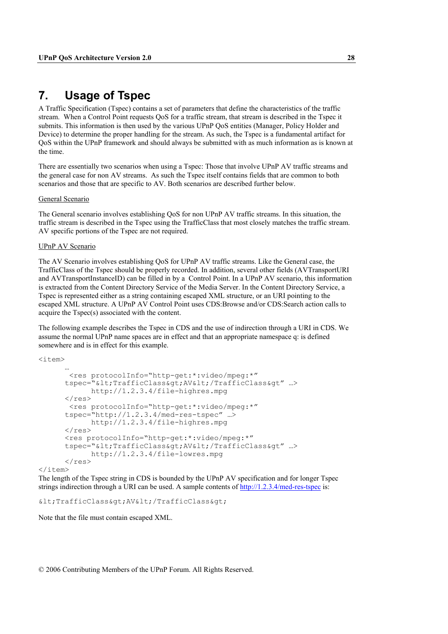## **7. Usage of Tspec**

A Traffic Specification (Tspec) contains a set of parameters that define the characteristics of the traffic stream. When a Control Point requests QoS for a traffic stream, that stream is described in the Tspec it submits. This information is then used by the various UPnP QoS entities (Manager, Policy Holder and Device) to determine the proper handling for the stream. As such, the Tspec is a fundamental artifact for QoS within the UPnP framework and should always be submitted with as much information as is known at the time.

There are essentially two scenarios when using a Tspec: Those that involve UPnP AV traffic streams and the general case for non AV streams. As such the Tspec itself contains fields that are common to both scenarios and those that are specific to AV. Both scenarios are described further below.

#### General Scenario

The General scenario involves establishing QoS for non UPnP AV traffic streams. In this situation, the traffic stream is described in the Tspec using the TrafficClass that most closely matches the traffic stream. AV specific portions of the Tspec are not required.

#### UPnP AV Scenario

The AV Scenario involves establishing QoS for UPnP AV traffic streams. Like the General case, the TrafficClass of the Tspec should be properly recorded. In addition, several other fields (AVTransportURI and AVTransportInstanceID) can be filled in by a Control Point. In a UPnP AV scenario, this information is extracted from the Content Directory Service of the Media Server. In the Content Directory Service, a Tspec is represented either as a string containing escaped XML structure, or an URI pointing to the escaped XML structure. A UPnP AV Control Point uses CDS:Browse and/or CDS:Search action calls to acquire the Tspec(s) associated with the content.

The following example describes the Tspec in CDS and the use of indirection through a URI in CDS. We assume the normal UPnP name spaces are in effect and that an appropriate namespace q: is defined somewhere and is in effect for this example.

<item>

```
 … 
        <res protocolInfo="http-get:*:video/mpeg:*" 
      tspec="<TrafficClass&gt;AV&lt;/TrafficClass&gt" ...>
             http://1.2.3.4/file-highres.mpg 
      \langle/res\rangle <res protocolInfo="http-get:*:video/mpeg:*" 
       tspec="http://1.2.3.4/med-res-tspec" …> 
              http://1.2.3.4/file-highres.mpg 
      \langle/res\rangle <res protocolInfo="http-get:*:video/mpeg:*" 
      tspec="<TrafficClass&gt;AV&lt;/TrafficClass&gt" ...>
              http://1.2.3.4/file-lowres.mpg 
      \langle/res\rangle
```
</item>

The length of the Tspec string in CDS is bounded by the UPnP AV specification and for longer Tspec strings indirection through a URI can be used. A sample contents of http://1.2.3.4/med-res-tspec is:

 $<$ ;TrafficClass>AV</TrafficClass&gt;

Note that the file must contain escaped XML.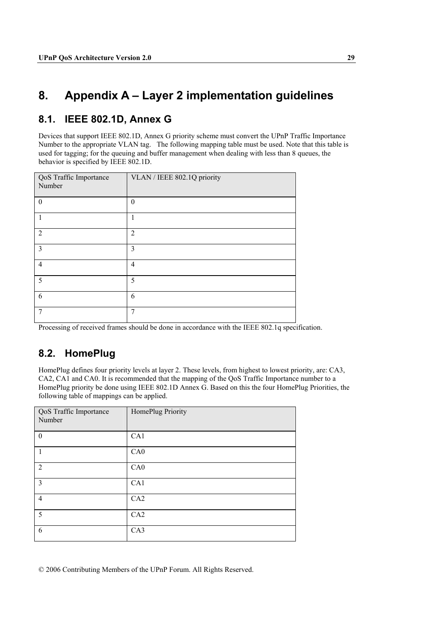## **8. Appendix A – Layer 2 implementation guidelines**

## **8.1. IEEE 802.1D, Annex G**

Devices that support IEEE 802.1D, Annex G priority scheme must convert the UPnP Traffic Importance Number to the appropriate VLAN tag. The following mapping table must be used. Note that this table is used for tagging; for the queuing and buffer management when dealing with less than 8 queues, the behavior is specified by IEEE 802.1D.

| QoS Traffic Importance<br>Number | VLAN / IEEE 802.1Q priority |
|----------------------------------|-----------------------------|
| $\theta$                         | $\theta$                    |
|                                  | 1                           |
| $\overline{2}$                   | $\overline{2}$              |
| 3                                | 3                           |
| $\overline{4}$                   | $\overline{4}$              |
| 5                                | 5                           |
| 6                                | 6                           |
| 7                                | $\overline{7}$              |

Processing of received frames should be done in accordance with the IEEE 802.1q specification.

## **8.2. HomePlug**

HomePlug defines four priority levels at layer 2. These levels, from highest to lowest priority, are: CA3, CA2, CA1 and CA0. It is recommended that the mapping of the QoS Traffic Importance number to a HomePlug priority be done using IEEE 802.1D Annex G. Based on this the four HomePlug Priorities, the following table of mappings can be applied.

| QoS Traffic Importance<br>Number | HomePlug Priority |
|----------------------------------|-------------------|
| $\boldsymbol{0}$                 | CA1               |
| 1                                | CA0               |
| 2                                | CA0               |
| 3                                | CA1               |
| $\overline{4}$                   | CA2               |
| 5                                | CA2               |
| 6                                | CA3               |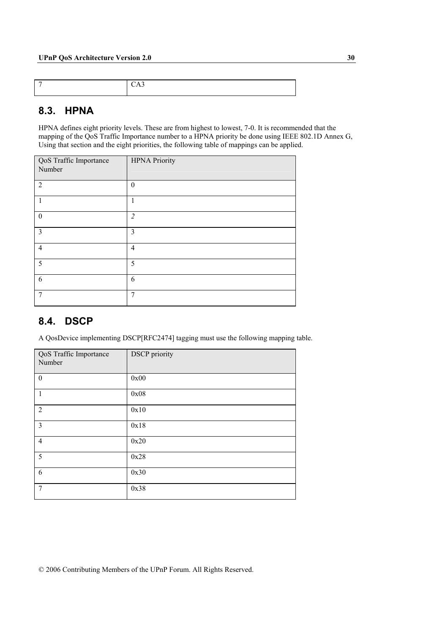### **8.3. HPNA**

HPNA defines eight priority levels. These are from highest to lowest, 7-0. It is recommended that the mapping of the QoS Traffic Importance number to a HPNA priority be done using IEEE 802.1D Annex G, Using that section and the eight priorities, the following table of mappings can be applied.

| QoS Traffic Importance<br>Number | <b>HPNA Priority</b> |
|----------------------------------|----------------------|
| $\overline{2}$                   | $\theta$             |
| 1                                | 1                    |
| $\theta$                         | $\overline{2}$       |
| $\overline{3}$                   | 3                    |
| $\overline{4}$                   | $\overline{4}$       |
| 5                                | 5                    |
| 6                                | 6                    |
| 7                                | 7                    |

## **8.4. DSCP**

A QosDevice implementing DSCP[RFC2474] tagging must use the following mapping table.

| QoS Traffic Importance<br>Number | <b>DSCP</b> priority |
|----------------------------------|----------------------|
| $\mathbf{0}$                     | 0x00                 |
| 1                                | 0x08                 |
| 2                                | 0x10                 |
| $\overline{3}$                   | 0x18                 |
| $\overline{4}$                   | 0x20                 |
| 5                                | 0x28                 |
| 6                                | 0x30                 |
| $\overline{7}$                   | 0x38                 |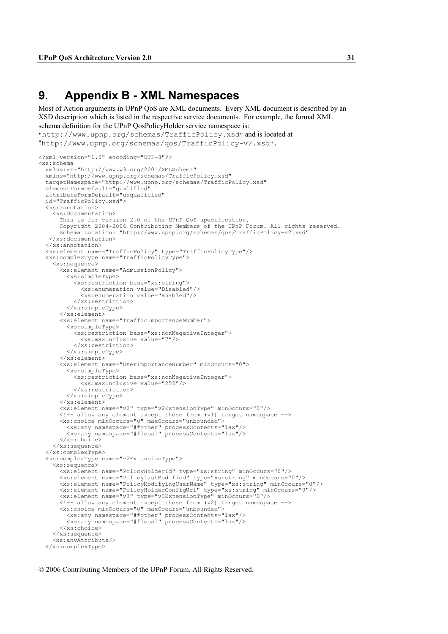## **9. Appendix B - XML Namespaces**

Most of Action arguments in UPnP QoS are XML documents. Every XML document is described by an XSD description which is listed in the respective service documents. For example, the formal XML schema definition for the UPnP QosPolicyHolder service namespace is:

"http://www.upnp.org/schemas/TrafficPolicy.xsd" and is located at "http://www.upnp.org/schemas/qos/TrafficPolicy-v2.xsd".

```
<?xml version="1.0" encoding="UTF-8"?> 
<xs:schema 
  xmlns:xs="http://www.w3.org/2001/XMLSchema" 
  xmlns="http://www.upnp.org/schemas/TrafficPolicy.xsd" 
  targetNamespace="http://www.upnp.org/schemas/TrafficPolicy.xsd" 
 elementFormDefault="qualified"
  attributeFormDefault="unqualified" 
  id="TrafficPolicy.xsd"> 
  <xs:annotation> 
    <xs:documentation> 
      This is for version 2.0 of the UPnP QoS specification. 
      Copyright 2004-2006 Contributing Members of the UPnP Forum. All rights reserved. 
       Schema Location: "http://www.upnp.org/schemas/qos/TrafficPolicy-v2.xsd" 
    </xs:documentation> 
  </xs:annotation> 
  <xs:element name="TrafficPolicy" type="TrafficPolicyType"/> 
  <xs:complexType name="TrafficPolicyType"> 
    <xs:sequence> 
       <xs:element name="AdmissionPolicy"> 
         <xs:simpleType> 
           <xs:restriction base="xs:string"> 
             <xs:enumeration value="Disabled"/> 
             <xs:enumeration value="Enabled"/> 
           </xs:restriction> 
         </xs:simpleType> 
       </xs:element> 
       <xs:element name="TrafficImportanceNumber"> 
         <xs:simpleType> 
           <xs:restriction base="xs:nonNegativeInteger"> 
             <xs:maxInclusive value="7"/> 
           </xs:restriction> 
         </xs:simpleType> 
       </xs:element> 
       <xs:element name="UserImportanceNumber" minOccurs="0"> 
         <xs:simpleType> 
           <xs:restriction base="xs:nonNegativeInteger"> 
             <xs:maxInclusive value="255"/> 
           </xs:restriction> 
         </xs:simpleType> 
       </xs:element> 
       <xs:element name="v2" type="v2ExtensionType" minOccurs="0"/> 
 <!-- allow any element except those from (v1) target namespace --> 
 <xs:choice minOccurs="0" maxOccurs="unbounded"> 
 <xs:any namespace="##other" processContents="lax"/> 
 <xs:any namespace="##local" processContents="lax"/> 
       </xs:choice> 
    </xs:sequence> 
  </xs:complexType> 
  <xs:complexType name="v2ExtensionType"> 
    <xs:sequence> 
      <xs:element name="PolicyHolderId" type="xs:string" minOccurs="0"/> 
 <xs:element name="PolicyLastModified" type="xs:string" minOccurs="0"/> 
 <xs:element name="PolicyModifyingUserName" type="xs:string" minOccurs="0"/> 
       <xs:element name="PolicyHolderConfigUrl" type="xs:string" minOccurs="0"/> 
       <xs:element name="v3" type="v3ExtensionType" minOccurs="0"/> 
       <!-- allow any element except those from (v2) target namespace --> 
       <xs:choice minOccurs="0" maxOccurs="unbounded"> 
 <xs:any namespace="##other" processContents="lax"/> 
 <xs:any namespace="##local" processContents="lax"/> 
      </xs:choice> 
    </xs:sequence> 
    <xs:anyAttribute/> 
  </xs:complexType>
```
<sup>© 2006</sup> Contributing Members of the UPnP Forum. All Rights Reserved.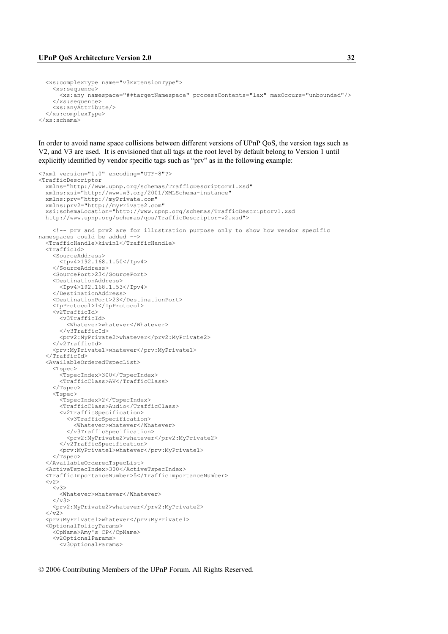```
 <xs:complexType name="v3ExtensionType"> 
     <xs:sequence> 
       <xs:any namespace="##targetNamespace" processContents="lax" maxOccurs="unbounded"/> 
     </xs:sequence> 
     <xs:anyAttribute/> 
   </xs:complexType> 
</xs:schema>
```
In order to avoid name space collisions between different versions of UPnP QoS, the version tags such as V2, and V3 are used. It is envisioned that all tags at the root level by default belong to Version 1 until explicitly identified by vendor specific tags such as "prv" as in the following example:

```
<?xml version="1.0" encoding="UTF-8"?> 
<TrafficDescriptor 
   xmlns="http://www.upnp.org/schemas/TrafficDescriptorv1.xsd" 
   xmlns:xsi="http://www.w3.org/2001/XMLSchema-instance" 
   xmlns:prv="http://myPrivate.com" 
   xmlns:prv2="http://myPrivate2.com" 
  xsi:schemaLocation="http://www.upnp.org/schemas/TrafficDescriptorv1.xsd 
  http://www.upnp.org/schemas/qos/TrafficDescriptor-v2.xsd"> 
     <!-- prv and prv2 are for illustration purpose only to show how vendor specific 
namespaces could be added --> 
   <TrafficHandle>kiwin1</TrafficHandle> 
  <TrafficId> <SourceAddress> 
       <Ipv4>192.168.1.50</Ipv4> 
     </SourceAddress> 
     <SourcePort>23</SourcePort> 
     <DestinationAddress> 
       <Ipv4>192.168.1.53</Ipv4> 
     </DestinationAddress> 
     <DestinationPort>23</DestinationPort> 
     <IpProtocol>1</IpProtocol> 
     <v2TrafficId> 
       <v3TrafficId> 
         <Whatever>whatever</Whatever> 
       </v3TrafficId> 
       <prv2:MyPrivate2>whatever</prv2:MyPrivate2> 
     </v2TrafficId> 
     <prv:MyPrivate1>whatever</prv:MyPrivate1> 
   </TrafficId> 
   <AvailableOrderedTspecList> 
     <Tspec> 
       <TspecIndex>300</TspecIndex> 
       <TrafficClass>AV</TrafficClass> 
     </Tspec> 
     <Tspec> 
       <TspecIndex>2</TspecIndex> 
       <TrafficClass>Audio</TrafficClass> 
       <v2TrafficSpecification> 
          <v3TrafficSpecification> 
            <Whatever>whatever</Whatever> 
          </v3TrafficSpecification> 
          <prv2:MyPrivate2>whatever</prv2:MyPrivate2> 
       </v2TrafficSpecification> 
       <prv:MyPrivate1>whatever</prv:MyPrivate1> 
    \langleTspec>
   </AvailableOrderedTspecList> 
   <ActiveTspecIndex>300</ActiveTspecIndex> 
   <TrafficImportanceNumber>5</TrafficImportanceNumber> 
  <v2>
    <v3 <Whatever>whatever</Whatever> 
    \langle/v3>
     <prv2:MyPrivate2>whatever</prv2:MyPrivate2> 
  \langle \sqrt{v^2} \rangle <prv:MyPrivate1>whatever</prv:MyPrivate1> 
   <OptionalPolicyParams> 
     <CpName>Amy's CP</CpName> 
     <v2OptionalParams> 
       <v3OptionalParams>
```

```
© 2006 Contributing Members of the UPnP Forum. All Rights Reserved.
```